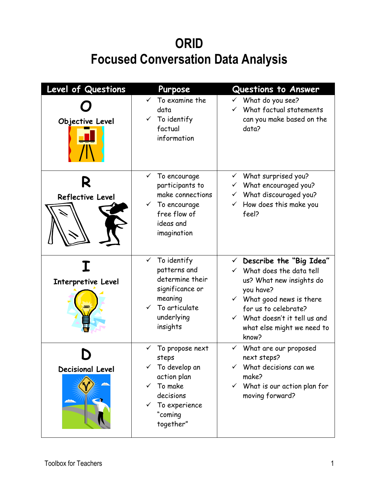## **ORID Focused Conversation Data Analysis**

| Level of Questions           | Purpose                                                                                                                                                                  | <b>Questions to Answer</b>                                                                                                                                                                                                                                               |
|------------------------------|--------------------------------------------------------------------------------------------------------------------------------------------------------------------------|--------------------------------------------------------------------------------------------------------------------------------------------------------------------------------------------------------------------------------------------------------------------------|
| Objective Level              | $\checkmark$ To examine the<br>data<br>$\checkmark$ To identify<br>factual<br>information                                                                                | $\checkmark$ What do you see?<br>$\checkmark$ What factual statements<br>can you make based on the<br>data?                                                                                                                                                              |
| R<br><b>Reflective Level</b> | To encourage<br>participants to<br>make connections<br>$\checkmark$ To encourage<br>free flow of<br>ideas and<br>imagination                                             | $\checkmark$ What surprised you?<br>$\checkmark$ What encouraged you?<br>$\checkmark$ What discouraged you?<br>$\checkmark$ How does this make you<br>feel?                                                                                                              |
| Interpretive Level           | $\checkmark$ To identify<br>patterns and<br>determine their<br>significance or<br>meaning<br>$\checkmark$ To articulate<br>underlying<br>insights                        | $\checkmark$ Describe the "Big Idea"<br>$\checkmark$ What does the data tell<br>us? What new insights do<br>you have?<br>$\checkmark$ What good news is there<br>for us to celebrate?<br>$\checkmark$ What doesn't it tell us and<br>what else might we need to<br>know? |
| <b>Decisional Level</b>      | To propose next<br>$\checkmark$<br>steps<br>$\checkmark$ To develop an<br>action plan<br>To make<br>✓<br>decisions<br>$\checkmark$ To experience<br>"coming<br>together" | $\checkmark$ What are our proposed<br>next steps?<br>What decisions can we<br>make?<br>$\checkmark$ What is our action plan for<br>moving forward?                                                                                                                       |